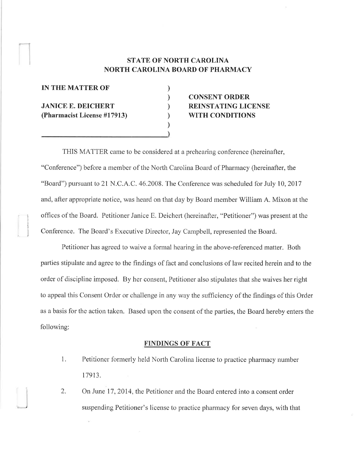### STATE OF NORTH CAROLINA NORTH CAROLINA BOARD OF PHARMACY

) ) ) ) ) )

| <b>IN THE MATTER OF</b>                                  |  |
|----------------------------------------------------------|--|
| <b>JANICE E. DEICHERT</b><br>(Pharmacist License #17913) |  |

## CONSENT ORDER REINSTATING LICENSE WITH CONDITIONS

THIS MATTER came to be considered at a prehearing conference (hereinafter, "Conference") before a member of the North Carolina Board of Pharmacy (hereinafter, the "Board") pursuant to 21 N.C.A.C. 46.2008. The Conference was scheduled for July 10, 2017 and, after appropriate notice, was heard on that day by Board member William A. Mixon at the i offices of the Board. Petitioner Janice E. Deichert (hereinafter, "Petitioner") was present at the Conference. The Board's Executive Director, Jay Campbell, represented the Board.

Petitioner has agreed to waive a fonnal hearing in the above-referenced matter. Both parties stipulate and agree to the findings of fact and conclusions of law recited herein and to the order of discipline imposed. By her consent, Petitioner also stipulates that she waives her right to appeal this Consent Order or challenge in any way the sufficiency of the findings of this Order as a basis for the action taken. Based upon the consent of the parties, the Board hereby enters the following:

#### FINDINGS OF FACT

1. Petitioner formerly held North Carolina license to practice pharmacy number 17913.

2. On June 17, 2014, the Petitioner and the Board entered into a consent order suspending Petitioner's license to practice pharmacy for seven days, with that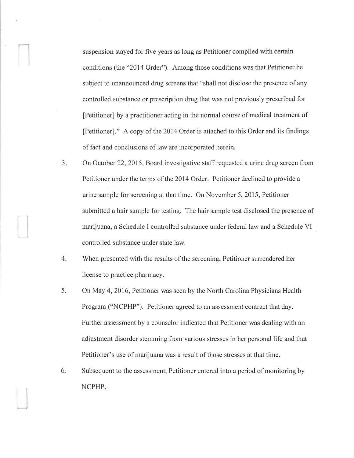suspension stayed for five years as long as Petitioner complied with certain conditions (the "20l4 Order"). Among those conditions was that Petitioner be subject to unannounced drug screens that "shall not disclose the presence of any controlled substance or prescription drug that was not previously prescribed for [Petitioner] by a practitioner acting in the normal course of medical treatment of fPetitioner]." A copy of the 2014 Order is attached to this Order and its findings of fact and conclusions of law are incorporated herein.

- 3. On October 22,2015, Board investigative staff requested a urine drug screen from Petitioner under the terms of the 2014 Order. Petitioner declined to provide a urine sample for screening at that time. On November 5,2015, Petitioner submitted a hair sample for testing. The hair sample test disclosed the presence of marijuana, a Schedule I controlled substance under federal law and a Schedule VI controlled substance under state law.
- When presented with the results of the screening, Petitioner surrendered her license to practice phannacy. 4
- On May 4,2016, Petitioner was seen by the North Carolina Physicians Health Program ("NCPHP"). Petitioner agreed to an assessment contract that day. Further assessment by a counselor indicated that Petitioner was dealing with an adjustment disorder stemming from various stresses in her personal life and that Petitioner's use of marijuana was a result of those stresses at that time. 5.
- Subsequent to the assessment, Petitioner entered into a period of monitoring by NCPHP. 6.

)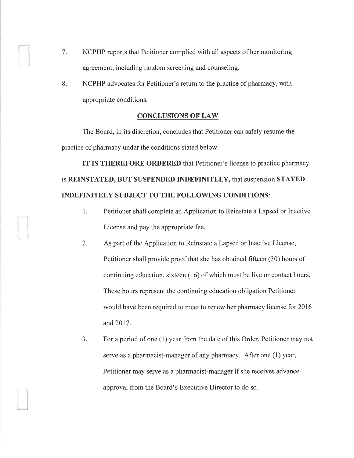7, NCPHP reports that Petitioner complied with all aspects of her monitoring agreement, including random screening and counseling.

I

 $\overline{\phantom{a}}$ 

8. NCPHP advocates for Petitioner's return to the practice of pharmacy, with appropriate conditions.

#### **CONCLUSIONS OF LAW**

The Board, in its discretion, concludes that Petitioner can safely resume the practice of pharmacy under the conditions stated below.

IT IS THEREFORE ORDERED that Petitioner's license to practice pharmacy is REINSTATED, BUT SUSPENDED INDEFINITELY, that suspension STAYED INDEFINITELY SUBJECT TO THE FOLLOWING CONDITIONS:

- 1. Petitioner shall complete an Application to Reinstate a Lapsed or Inactive License and pay the appropriate fee.
- 2. As part of the Application to Reinstate a Lapsed or Inactive License, Petitioner shall provide proof that she has obtained fifteen (30) hours of continuing education, sixteen (16) of which must be live or contact hours. These hours represent the continuing education obligation Petitioner would have been required to meet to renew her pharmacy license for 2016 and 2017.
- 3. For a period of one (1) year from the date of this Order, Petitioner may not serve as a pharmacist-manager of any pharmacy. After one (1) year, Petitioner may serve as a pharmacist-manager if she receives advance approval from the Board's Executive Director to do so.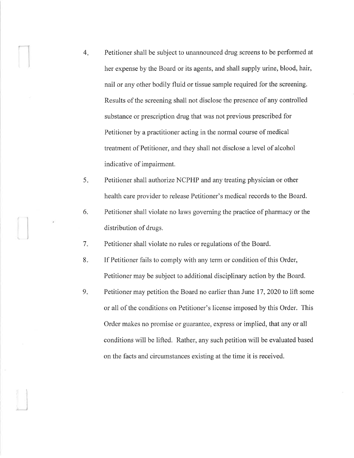- 4 Petitioner shall be subject to unannounced drug screens to be performed at her expense by the Board or its agents, and shall supply urine, blood, hair, nail or any other bodily fluid or tissue sample required for the screening. Results of the screening shall not disclose the presence of any controlled substance or prescription drug that was not previous prescribed for Petitioner by a practitioner acting in the normal course of medical treatment of Petitioner, and they shall not disclose a level of alcohol indicative of impairment.
- Petitioner shall authorize NCPHP and any treating physician or other health care provider to release Petitioner's medical records to the Board.  $5<sub>r</sub>$
- Petitioner shall violate no laws governing the practice of pharmacy or the distribution of drugs. 6.
- Petitioner shall violate no rules or regulations of the Board. 7

-J

- If Petitioner fails to comply with any term or condition of this Order, Petitioner may be subject to additional disciplinary action by the Board.  $8.$
- Petitioner may petition the Board no earlier than June 17,2020 to lift some or all of the conditions on Petitioner's license imposed by this Order. This Order makes no promise or guaranfee, express or implied, that any or all conditions will be lifted. Rather, any such petition will be evaluated based on the facts and circumstances existing at the time it is received.  $9<sub>1</sub>$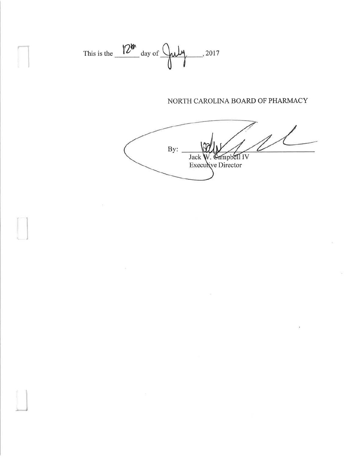

n

L]

 $\Box$ 

## NORTH CAROLINA BOARD OF PHARMACY

ry Director Jack  $By:$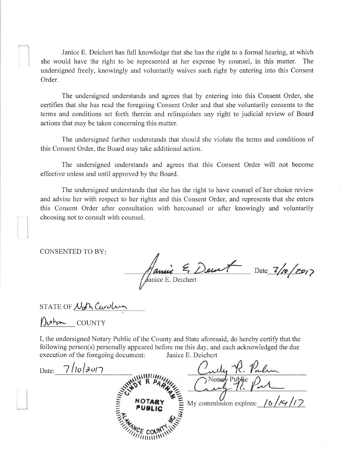Janice E. Deichert has full knowledge that she has the right to a fonnal hearing, at which she would have the right to be represented at her expense by counsel, in this matter. The undersigned freely, knowingly and voluntarily waives such right by entering into this Consent Order.

The undersigned understands and agrees that by entering into this Consent Order, she certifies that she has read the foregoing Consent Order and that she voluntarily consents to the terms and conditions set forth therein and relinquishes any right to judicial review of Board actions that may be taken concerning this matter.

The undersigned further understands that should she violate the terms and conditions of this Consent Order, the Board may take additional action.

The undersigned understands and agrees that this Consent Order will not become effective unless and until approved by the Board.

The undersigned understands that she has the right to have counsel of her choice review and advise her with respect to her rights and this Consent Order, and represents that she enters this Consent Order after consultation with hercounsel or after knowingly and voluntarily choosing not to consult with counsel.

CONSENTED TO BY

 $\epsilon$ , Decart Date  $7/20$ anice E. Deichert

STATE OF Noth Carolina

**y)∧** <u>ra COUNTY</u>

)

I, the undersigned Notary Public of the County and State aforesaid, do hereby certify that the following person(s) personally appeared before me this day, and each acknowledged the due execution of the foregoing document: Janice E. Deichert

<u>R. Parlin</u> Date:\_\_7/10/2017 Notary Pul annum My commission expires:  $/6$  /K  $/17$